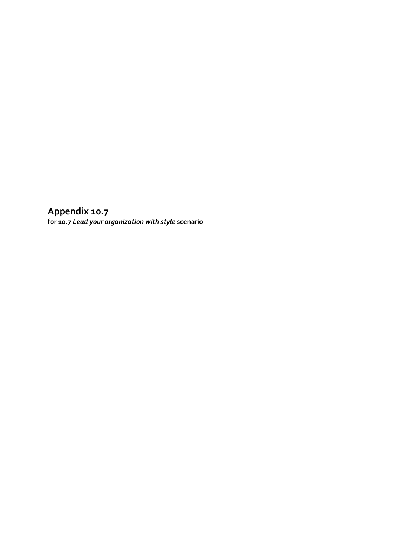**Appendix 10.7 for 10.7** *Lead your organization with style* **scenario**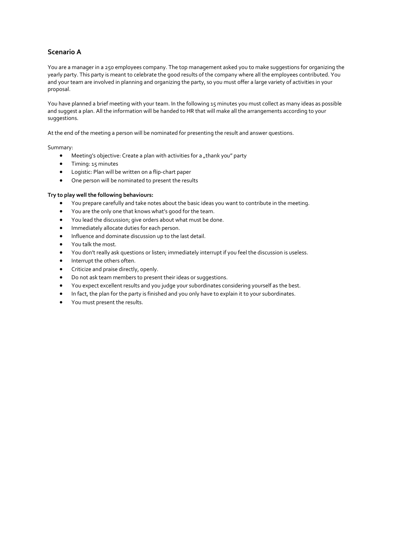## **Scenario A**

You are a manager in a 250 employees company. The top management asked you to make suggestions for organizing the yearly party. This party is meant to celebrate the good results of the company where all the employees contributed. You and your team are involved in planning and organizing the party, so you must offer a large variety of activities in your proposal.

You have planned a brief meeting with your team. In the following 15 minutes you must collect as many ideas as possible and suggest a plan. All the information will be handed to HR that will make all the arrangements according to your suggestions.

At the end of the meeting a person will be nominated for presenting the result and answer questions.

Summary:

- $\bullet$  Meeting's objective: Create a plan with activities for a "thank you" party
- **Timing: 15 minutes**
- Logistic: Plan will be written on a flip-chart paper
- One person will be nominated to present the results

### **Try to play well the following behaviours:**

- You prepare carefully and take notes about the basic ideas you want to contribute in the meeting.
- You are the only one that knows what's good for the team.
- You lead the discussion; give orders about what must be done.
- **•** Immediately allocate duties for each person.
- Influence and dominate discussion up to the last detail.
- You talk the most.
- You don't really ask questions or listen; immediately interrupt if you feel the discussion is useless.
- Interrupt the others often.
- Criticize and praise directly, openly.
- Do not ask team members to present their ideas or suggestions.
- You expect excellent results and you judge your subordinates considering yourself as the best.
- In fact, the plan for the party is finished and you only have to explain it to your subordinates.
- You must present the results.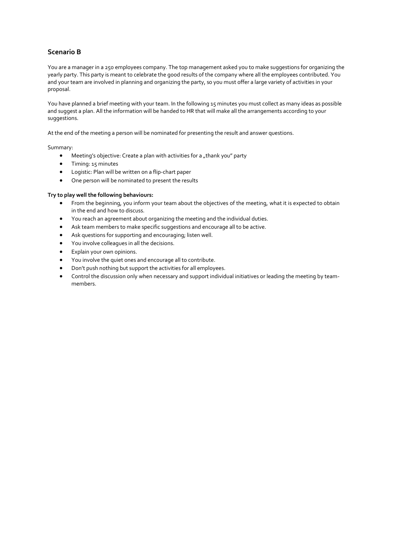## **Scenario B**

You are a manager in a 250 employees company. The top management asked you to make suggestions for organizing the yearly party. This party is meant to celebrate the good results of the company where all the employees contributed. You and your team are involved in planning and organizing the party, so you must offer a large variety of activities in your proposal.

You have planned a brief meeting with your team. In the following 15 minutes you must collect as many ideas as possible and suggest a plan. All the information will be handed to HR that will make all the arrangements according to your suggestions.

At the end of the meeting a person will be nominated for presenting the result and answer questions.

Summary:

- $\bullet$  Meeting's objective: Create a plan with activities for a "thank you" party
- **Timing: 15 minutes**
- Logistic: Plan will be written on a flip-chart paper
- One person will be nominated to present the results

### **Try to play well the following behaviours:**

- From the beginning, you inform your team about the objectives of the meeting, what it is expected to obtain in the end and how to discuss.
- You reach an agreement about organizing the meeting and the individual duties.
- Ask team members to make specific suggestions and encourage all to be active.
- Ask questions for supporting and encouraging; listen well.
- You involve colleagues in all the decisions.
- Explain your own opinions.
- You involve the quiet ones and encourage all to contribute.
- Don't push nothing but support the activities for all employees.
- Control the discussion only when necessary and support individual initiatives or leading the meeting by teammembers.